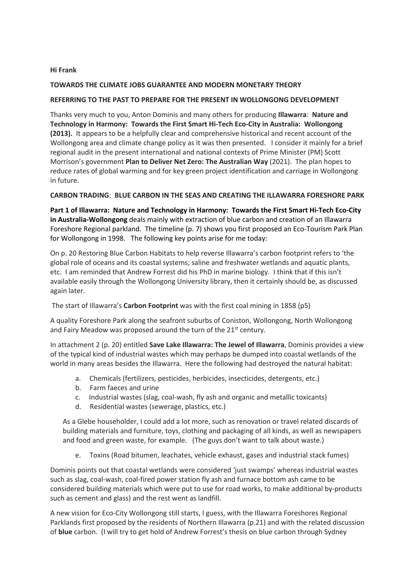### **Hi Frank**

# **TOWARDS THE CLIMATE JOBS GUARANTEE AND MODERN MONETARY THEORY**

# **REFERRING TO THE PAST TO PREPARE FOR THE PRESENT IN WOLLONGONG DEVELOPMENT**

Thanks very much to you, Anton Dominis and many others for producing **Illawarra**: **Nature and Technology in Harmony: Towards the First Smart Hi-Tech Eco-City in Australia: Wollongong (2013).** It appears to be a helpfully clear and comprehensive historical and recent account of the Wollongong area and climate change policy as it was then presented. I consider it mainly for a brief regional audit in the present international and national contexts of Prime Minister (PM) Scott Morrison's government **Plan to Deliver Net Zero: The Australian Way** (2021). The plan hopes to reduce rates of global warming and for key green project identification and carriage in Wollongong in future.

# **CARBON TRADING**: **BLUE CARBON IN THE SEAS AND CREATING THE ILLAWARRA FORESHORE PARK**

**Part 1 of Illawarra: Nature and Technology in Harmony: Towards the First Smart Hi-Tech Eco-City in Australia-Wollongong** deals mainly with extraction of blue carbon and creation of an Illawarra Foreshore Regional parkland. The timeline (p. 7) shows you first proposed an Eco-Tourism Park Plan for Wollongong in 1998. The following key points arise for me today:

On p. 20 Restoring Blue Carbon Habitats to help reverse Illawarra's carbon footprint refers to 'the global role of oceans and its coastal systems; saline and freshwater wetlands and aquatic plants, etc. I am reminded that Andrew Forrest did his PhD in marine biology. I think that if this isn't available easily through the Wollongong University library, then it certainly should be, as discussed again later.

The start of Illawarra's **Carbon Footprint** was with the first coal mining in 1858 (p5)

A quality Foreshore Park along the seafront suburbs of Coniston, Wollongong, North Wollongong and Fairy Meadow was proposed around the turn of the  $21<sup>st</sup>$  century.

In attachment 2 (p. 20) entitled **Save Lake Illawarra: The Jewel of Illawarra**, Dominis provides a view of the typical kind of industrial wastes which may perhaps be dumped into coastal wetlands of the world in many areas besides the Illawarra. Here the following had destroyed the natural habitat:

- a. Chemicals (fertilizers, pesticides, herbicides, insecticides, detergents, etc.)
- b. Farm faeces and urine
- c. Industrial wastes (slag, coal-wash, fly ash and organic and metallic toxicants)
- d. Residential wastes (sewerage, plastics, etc.)

As a Glebe householder, I could add a lot more, such as renovation or travel related discards of building materials and furniture, toys, clothing and packaging of all kinds, as well as newspapers and food and green waste, for example. (The guys don't want to talk about waste.)

e. Toxins (Road bitumen, leachates, vehicle exhaust, gases and industrial stack fumes)

Dominis points out that coastal wetlands were considered 'just swamps' whereas industrial wastes such as slag, coal-wash, coal-fired power station fly ash and furnace bottom ash came to be considered building materials which were put to use for road works, to make additional by-products such as cement and glass) and the rest went as landfill.

A new vision for Eco-City Wollongong still starts, I guess, with the Illawarra Foreshores Regional Parklands first proposed by the residents of Northern Illawarra (p.21) and with the related discussion of **blue** carbon. (I will try to get hold of Andrew Forrest's thesis on blue carbon through Sydney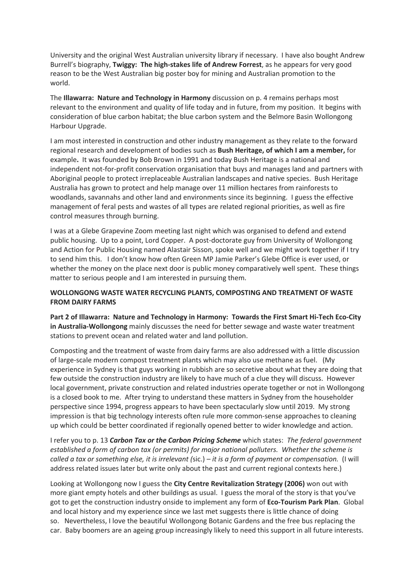University and the original West Australian university library if necessary. I have also bought Andrew Burrell's biography, **Twiggy: The high-stakes life of Andrew Forrest**, as he appears for very good reason to be the West Australian big poster boy for mining and Australian promotion to the world.

The **Illawarra: Nature and Technology in Harmony** discussion on p. 4 remains perhaps most relevant to the environment and quality of life today and in future, from my position. It begins with consideration of blue carbon habitat; the blue carbon system and the Belmore Basin Wollongong Harbour Upgrade.

I am most interested in construction and other industry management as they relate to the forward regional research and development of bodies such as **Bush Heritage, of which I am a member,** for example**.** It was founded by Bob Brown in 1991 and today Bush Heritage is a national and independent not-for-profit conservation organisation that buys and manages land and partners with Aboriginal people to protect irreplaceable Australian landscapes and native species. Bush Heritage Australia has grown to protect and help manage over 11 million hectares from rainforests to woodlands, savannahs and other land and environments since its beginning. I guess the effective management of feral pests and wastes of all types are related regional priorities, as well as fire control measures through burning.

I was at a Glebe Grapevine Zoom meeting last night which was organised to defend and extend public housing. Up to a point, Lord Copper. A post-doctorate guy from University of Wollongong and Action for Public Housing named Alastair Sisson, spoke well and we might work together if I try to send him this. I don't know how often Green MP Jamie Parker's Glebe Office is ever used, or whether the money on the place next door is public money comparatively well spent. These things matter to serious people and I am interested in pursuing them.

# **WOLLONGONG WASTE WATER RECYCLING PLANTS, COMPOSTING AND TREATMENT OF WASTE FROM DAIRY FARMS**

**Part 2 of Illawarra: Nature and Technology in Harmony: Towards the First Smart Hi-Tech Eco-City in Australia-Wollongong** mainly discusses the need for better sewage and waste water treatment stations to prevent ocean and related water and land pollution.

Composting and the treatment of waste from dairy farms are also addressed with a little discussion of large-scale modern compost treatment plants which may also use methane as fuel. (My experience in Sydney is that guys working in rubbish are so secretive about what they are doing that few outside the construction industry are likely to have much of a clue they will discuss. However local government, private construction and related industries operate together or not in Wollongong is a closed book to me. After trying to understand these matters in Sydney from the householder perspective since 1994, progress appears to have been spectacularly slow until 2019. My strong impression is that big technology interests often rule more common-sense approaches to cleaning up which could be better coordinated if regionally opened better to wider knowledge and action.

I refer you to p. 13 *Carbon Tax or the Carbon Pricing Scheme* which states: *The federal government established a form of carbon tax (or permits) for major national polluters. Whether the scheme is called a tax or something else, it is irrelevant (*sic.) *– it is a form of payment or compensation.* (I will address related issues later but write only about the past and current regional contexts here.)

Looking at Wollongong now I guess the **City Centre Revitalization Strategy (2006)** won out with more giant empty hotels and other buildings as usual. I guess the moral of the story is that you've got to get the construction industry onside to implement any form of **Eco-Tourism Park Plan**. Global and local history and my experience since we last met suggests there is little chance of doing so. Nevertheless, I love the beautiful Wollongong Botanic Gardens and the free bus replacing the car. Baby boomers are an ageing group increasingly likely to need this support in all future interests.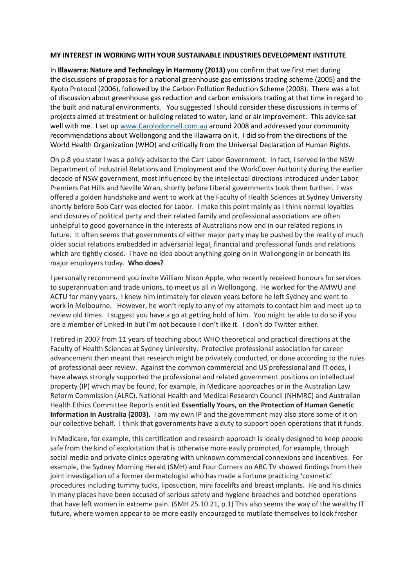#### **MY INTEREST IN WORKING WITH YOUR SUSTAINABLE INDUSTRIES DEVELOPMENT INSTITUTE**

In **Illawarra: Nature and Technology in Harmony (2013)** you confirm that we first met during the discussions of proposals for a national greenhouse gas emissions trading scheme (2005) and the Kyoto Protocol (2006), followed by the Carbon Pollution Reduction Scheme (2008). There was a lot of discussion about greenhouse gas reduction and carbon emissions trading at that time in regard to the built and natural environments. You suggested I should consider these discussions in terms of projects aimed at treatment or building related to water, land or air improvement. This advice sat well with me. I set up www.Carolodonnell.com.au around 2008 and addressed your community recommendations about Wollongong and the Illawarra on it. I did so from the directions of the World Health Organization (WHO) and critically from the Universal Declaration of Human Rights.

On p.8 you state I was a policy advisor to the Carr Labor Government. In fact, I served in the NSW Department of Industrial Relations and Employment and the WorkCover Authority during the earlier decade of NSW government, most influenced by the intellectual directions introduced under Labor Premiers Pat Hills and Neville Wran, shortly before Liberal governments took them further. I was offered a golden handshake and went to work at the Faculty of Health Sciences at Sydney University shortly before Bob Carr was elected for Labor. I make this point mainly as I think normal loyalties and closures of political party and their related family and professional associations are often unhelpful to good governance in the interests of Australians now and in our related regions in future. It often seems that governments of either major party may be pushed by the reality of much older social relations embedded in adversarial legal, financial and professional funds and relations which are tightly closed. I have no idea about anything going on in Wollongong in or beneath its major employers today. **Who does?**

I personally recommend you invite William Nixon Apple, who recently received honours for services to superannuation and trade unions, to meet us all in Wollongong. He worked for the AMWU and ACTU for many years. I knew him intimately for eleven years before he left Sydney and went to work in Melbourne. However, he won't reply to any of my attempts to contact him and meet up to review old times. I suggest you have a go at getting hold of him. You might be able to do so if you are a member of Linked-In but I'm not because I don't like it. I don't do Twitter either.

I retired in 2007 from 11 years of teaching about WHO theoretical and practical directions at the Faculty of Health Sciences at Sydney University. Protective professional association for career advancement then meant that research might be privately conducted, or done according to the rules of professional peer review. Against the common commercial and US professional and IT odds, I have always strongly supported the professional and related government positions on intellectual property (IP) which may be found, for example, in Medicare approaches or in the Australian Law Reform Commission (ALRC), National Health and Medical Research Council (NHMRC) and Australian Health Ethics Committee Reports entitled **Essentially Yours, on the Protection of Human Genetic Information in Australia (2003).** I am my own IP and the government may also store some of it on our collective behalf. I think that governments have a duty to support open operations that it funds.

In Medicare, for example, this certification and research approach is ideally designed to keep people safe from the kind of exploitation that is otherwise more easily promoted, for example, through social media and private clinics operating with unknown commercial connexions and incentives. For example, the Sydney Morning Herald (SMH) and Four Corners on ABC TV showed findings from their joint investigation of a former dermatologist who has made a fortune practicing 'cosmetic' procedures including tummy tucks, liposuction, mini facelifts and breast implants. He and his clinics in many places have been accused of serious safety and hygiene breaches and botched operations that have left women in extreme pain. (SMH 25.10.21, p.1) This also seems the way of the wealthy IT future, where women appear to be more easily encouraged to mutilate themselves to look fresher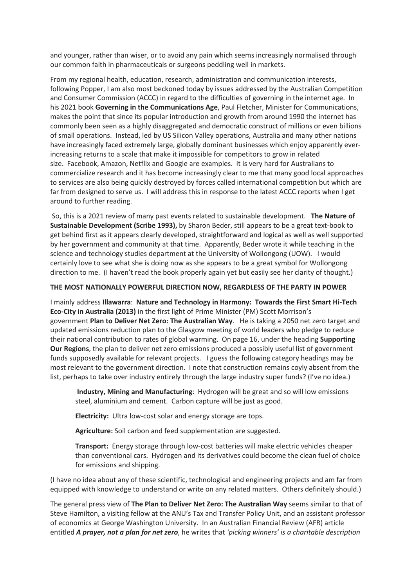and younger, rather than wiser, or to avoid any pain which seems increasingly normalised through our common faith in pharmaceuticals or surgeons peddling well in markets.

From my regional health, education, research, administration and communication interests, following Popper, I am also most beckoned today by issues addressed by the Australian Competition and Consumer Commission (ACCC) in regard to the difficulties of governing in the internet age. In his 2021 book **Governing in the Communications Age**, Paul Fletcher, Minister for Communications, makes the point that since its popular introduction and growth from around 1990 the internet has commonly been seen as a highly disaggregated and democratic construct of millions or even billions of small operations. Instead, led by US Silicon Valley operations, Australia and many other nations have increasingly faced extremely large, globally dominant businesses which enjoy apparently everincreasing returns to a scale that make it impossible for competitors to grow in related size. Facebook, Amazon, Netflix and Google are examples. It is very hard for Australians to commercialize research and it has become increasingly clear to me that many good local approaches to services are also being quickly destroyed by forces called international competition but which are far from designed to serve us. I will address this in response to the latest ACCC reports when I get around to further reading.

So, this is a 2021 review of many past events related to sustainable development. **The Nature of Sustainable Development (Scribe 1993),** by Sharon Beder, still appears to be a great text-book to get behind first as it appears clearly developed, straightforward and logical as well as well supported by her government and community at that time. Apparently, Beder wrote it while teaching in the science and technology studies department at the University of Wollongong (UOW). I would certainly love to see what she is doing now as she appears to be a great symbol for Wollongong direction to me. (I haven't read the book properly again yet but easily see her clarity of thought.)

### **THE MOST NATIONALLY POWERFUL DIRECTION NOW, REGARDLESS OF THE PARTY IN POWER**

I mainly address **Illawarra**: **Nature and Technology in Harmony: Towards the First Smart Hi-Tech Eco-City in Australia (2013)** in the first light of Prime Minister (PM) Scott Morrison's government **Plan to Deliver Net Zero: The Australian Way**. He is taking a 2050 net zero target and updated emissions reduction plan to the Glasgow meeting of world leaders who pledge to reduce their national contribution to rates of global warming. On page 16, under the heading **Supporting Our Regions**, the plan to deliver net zero emissions produced a possibly useful list of government funds supposedly available for relevant projects. I guess the following category headings may be most relevant to the government direction. I note that construction remains coyly absent from the list, perhaps to take over industry entirely through the large industry super funds? (I've no idea.)

**Industry, Mining and Manufacturing**: Hydrogen will be great and so will low emissions steel, aluminium and cement. Carbon capture will be just as good.

**Electricity:** Ultra low-cost solar and energy storage are tops.

**Agriculture:** Soil carbon and feed supplementation are suggested.

**Transport:** Energy storage through low-cost batteries will make electric vehicles cheaper than conventional cars. Hydrogen and its derivatives could become the clean fuel of choice for emissions and shipping.

(I have no idea about any of these scientific, technological and engineering projects and am far from equipped with knowledge to understand or write on any related matters. Others definitely should.)

The general press view of **The Plan to Deliver Net Zero: The Australian Way** seems similar to that of Steve Hamilton, a visiting fellow at the ANU's Tax and Transfer Policy Unit, and an assistant professor of economics at George Washington University. In an Australian Financial Review (AFR) article entitled *A prayer, not a plan for net zero*, he writes that *'picking winners' is a charitable description*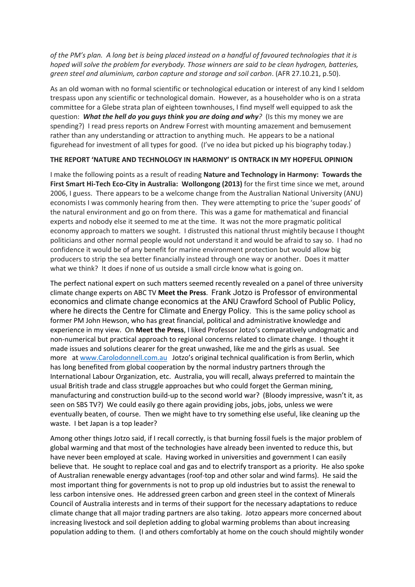*of the PM's plan. A long bet is being placed instead on a handful of favoured technologies that it is hoped will solve the problem for everybody. Those winners are said to be clean hydrogen, batteries, green steel and aluminium, carbon capture and storage and soil carbon*. (AFR 27.10.21, p.50).

As an old woman with no formal scientific or technological education or interest of any kind I seldom trespass upon any scientific or technological domain. However, as a householder who is on a strata committee for a Glebe strata plan of eighteen townhouses, I find myself well equipped to ask the question: *What the hell do you guys think you are doing and why?* (Is this my money we are spending?) I read press reports on Andrew Forrest with mounting amazement and bemusement rather than any understanding or attraction to anything much. He appears to be a national figurehead for investment of all types for good. (I've no idea but picked up his biography today.)

### **THE REPORT 'NATURE AND TECHNOLOGY IN HARMONY' IS ONTRACK IN MY HOPEFUL OPINION**

I make the following points as a result of reading **Nature and Technology in Harmony: Towards the First Smart Hi-Tech Eco-City in Australia: Wollongong (2013)** for the first time since we met, around 2006, I guess. There appears to be a welcome change from the Australian National University (ANU) economists I was commonly hearing from then. They were attempting to price the 'super goods' of the natural environment and go on from there. This was a game for mathematical and financial experts and nobody else it seemed to me at the time. It was not the more pragmatic political economy approach to matters we sought. I distrusted this national thrust mightily because I thought politicians and other normal people would not understand it and would be afraid to say so. I had no confidence it would be of any benefit for marine environment protection but would allow big producers to strip the sea better financially instead through one way or another. Does it matter what we think? It does if none of us outside a small circle know what is going on.

The perfect national expert on such matters seemed recently revealed on a panel of three university climate change experts on ABC TV **Meet the Press**. Frank Jotzo is Professor of environmental economics and climate change economics at the ANU Crawford School of Public Policy, where he directs the Centre for Climate and Energy Policy. This is the same policy school as former PM John Hewson, who has great financial, political and administrative knowledge and experience in my view. On **Meet the Press**, I liked Professor Jotzo's comparatively undogmatic and non-numerical but practical approach to regional concerns related to climate change. I thought it made issues and solutions clearer for the great unwashed, like me and the girls as usual. See more at www.Carolodonnell.com.au Jotzo's original technical qualification is from Berlin, which has long benefited from global cooperation by the normal industry partners through the International Labour Organization, etc. Australia, you will recall, always preferred to maintain the usual British trade and class struggle approaches but who could forget the German mining, manufacturing and construction build-up to the second world war? (Bloody impressive, wasn't it, as seen on SBS TV?) We could easily go there again providing jobs, jobs, jobs, unless we were eventually beaten, of course. Then we might have to try something else useful, like cleaning up the waste. I bet Japan is a top leader?

Among other things Jotzo said, if I recall correctly, is that burning fossil fuels is the major problem of global warming and that most of the technologies have already been invented to reduce this, but have never been employed at scale. Having worked in universities and government I can easily believe that. He sought to replace coal and gas and to electrify transport as a priority. He also spoke of Australian renewable energy advantages (roof-top and other solar and wind farms). He said the most important thing for governments is not to prop up old industries but to assist the renewal to less carbon intensive ones. He addressed green carbon and green steel in the context of Minerals Council of Australia interests and in terms of their support for the necessary adaptations to reduce climate change that all major trading partners are also taking. Jotzo appears more concerned about increasing livestock and soil depletion adding to global warming problems than about increasing population adding to them. (I and others comfortably at home on the couch should mightily wonder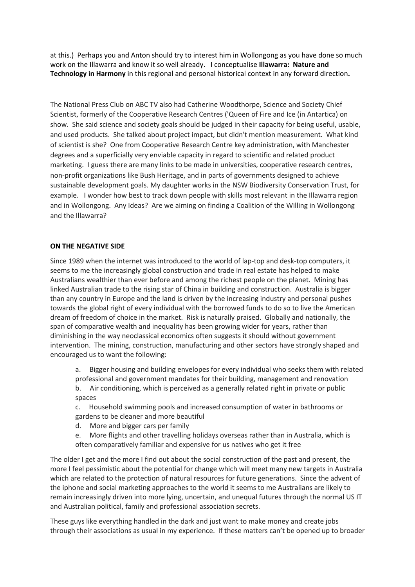at this.) Perhaps you and Anton should try to interest him in Wollongong as you have done so much work on the Illawarra and know it so well already. I conceptualise **Illawarra: Nature and Technology in Harmony** in this regional and personal historical context in any forward direction**.**

The National Press Club on ABC TV also had Catherine Woodthorpe, Science and Society Chief Scientist, formerly of the Cooperative Research Centres ('Queen of Fire and Ice (in Antartica) on show. She said science and society goals should be judged in their capacity for being useful, usable, and used products. She talked about project impact, but didn't mention measurement. What kind of scientist is she? One from Cooperative Research Centre key administration, with Manchester degrees and a superficially very enviable capacity in regard to scientific and related product marketing. I guess there are many links to be made in universities, cooperative research centres, non-profit organizations like Bush Heritage, and in parts of governments designed to achieve sustainable development goals. My daughter works in the NSW Biodiversity Conservation Trust, for example. I wonder how best to track down people with skills most relevant in the Illawarra region and in Wollongong. Any Ideas? Are we aiming on finding a Coalition of the Willing in Wollongong and the Illawarra?

# **ON THE NEGATIVE SIDE**

Since 1989 when the internet was introduced to the world of lap-top and desk-top computers, it seems to me the increasingly global construction and trade in real estate has helped to make Australians wealthier than ever before and among the richest people on the planet. Mining has linked Australian trade to the rising star of China in building and construction. Australia is bigger than any country in Europe and the land is driven by the increasing industry and personal pushes towards the global right of every individual with the borrowed funds to do so to live the American dream of freedom of choice in the market. Risk is naturally praised. Globally and nationally, the span of comparative wealth and inequality has been growing wider for years, rather than diminishing in the way neoclassical economics often suggests it should without government intervention. The mining, construction, manufacturing and other sectors have strongly shaped and encouraged us to want the following:

a. Bigger housing and building envelopes for every individual who seeks them with related professional and government mandates for their building, management and renovation b. Air conditioning, which is perceived as a generally related right in private or public

spaces

c. Household swimming pools and increased consumption of water in bathrooms or gardens to be cleaner and more beautiful

- d. More and bigger cars per family
- e. More flights and other travelling holidays overseas rather than in Australia, which is often comparatively familiar and expensive for us natives who get it free

The older I get and the more I find out about the social construction of the past and present, the more I feel pessimistic about the potential for change which will meet many new targets in Australia which are related to the protection of natural resources for future generations. Since the advent of the iphone and social marketing approaches to the world it seems to me Australians are likely to remain increasingly driven into more lying, uncertain, and unequal futures through the normal US IT and Australian political, family and professional association secrets.

These guys like everything handled in the dark and just want to make money and create jobs through their associations as usual in my experience. If these matters can't be opened up to broader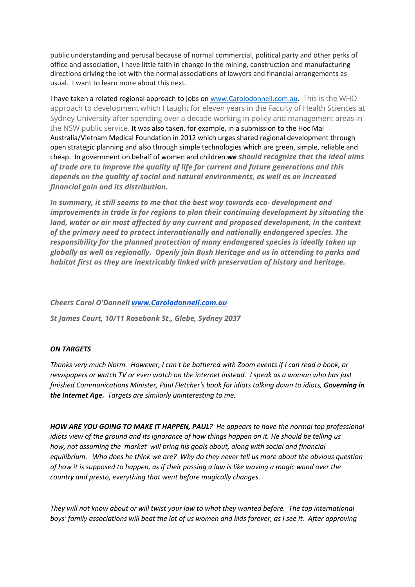public understanding and perusal because of normal commercial, political party and other perks of office and association, I have little faith in change in the mining, construction and manufacturing directions driving the lot with the normal associations of lawyers and financial arrangements as usual. I want to learn more about this next.

I have taken a related regional approach to jobs on www.Carolodonnell.com.au. This is the WHO approach to development which I taught for eleven years in the Faculty of Health Sciences at Sydney University after spending over a decade working in policy and management areas in the NSW public service. It was also taken, for example, in a submission to the Hoc Mai Australia/Vietnam Medical Foundation in 2012 which urges shared regional development through open strategic planning and also through simple technologies which are green, simple, reliable and cheap. In government on behalf of women and children *we should recognize that the ideal aims of trade are to improve the quality of life for current and future generations and this depends on the quality of social and natural environments, as well as on increased financial gain and its distribution.*

*In summary, it still seems to me that the best way towards eco- development and improvements in trade is for regions to plan their continuing development by situating the land, water or air most affected by any current and proposed development, in the context of the primary need to protect internationally and nationally endangered species. The responsibility for the planned protection of many endangered species is ideally taken up globally as well as regionally. Openly join Bush Heritage and us in attending to parks and habitat first as they are inextricably linked with preservation of history and heritage.*

### *Cheers Carol O'Donnell www.Carolodonnell.com.au*

*St James Court, 10/11 Rosebank St., Glebe, Sydney 2037*

### *ON TARGETS*

*Thanks very much Norm. However, I can't be bothered with Zoom events if I can read a book, or newspapers or watch TV or even watch on the internet instead. I speak as a woman who has just finished Communications Minister, Paul Fletcher's book for idiots talking down to idiots, Governing in the Internet Age. Targets are similarly uninteresting to me.*

*HOW ARE YOU GOING TO MAKE IT HAPPEN, PAUL? He appears to have the normal top professional idiots view of the ground and its ignorance of how things happen on it. He should be telling us how, not assuming the 'market' will bring his goals about, along with social and financial equilibrium. Who does he think we are? Why do they never tell us more about the obvious question of how it is supposed to happen, as if their passing a law is like waving a magic wand over the country and presto, everything that went before magically changes.*

*They will not know about or will twist your law to what they wanted before. The top international boys' family associations will beat the lot of us women and kids forever, as I see it. After approving*